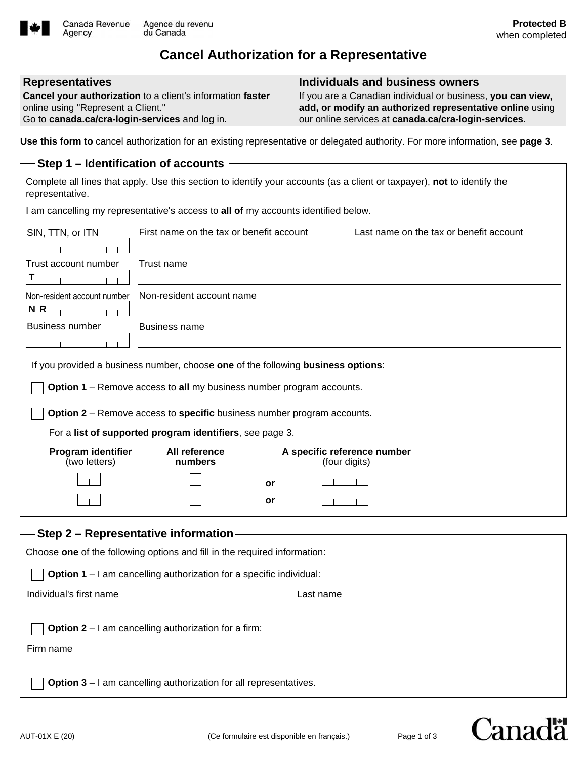

# **Cancel Authorization for a Representative**

#### **Representatives**

Agency

**Cancel your authorization** to a client's information **faster** online using "Represent a Client." Go to **canada.ca/cra-login-services** and log in.

#### **Individuals and business owners**

If you are a Canadian individual or business, **you can view, add, or modify an authorized representative online** using our online services at **canada.ca/cra-login-services**.

**Use this form to** cancel authorization for an existing representative or delegated authority. For more information, see **page 3**.

## **Step 1 – Identification of accounts** Complete all lines that apply. Use this section to identify your accounts (as a client or taxpayer), **not** to identify the representative. I am cancelling my representative's access to **all of** my accounts identified below. SIN, TTN, or ITN First name on the tax or benefit account Last name on the tax or benefit account  $1 - 1 - 1 - 1 - 1$ Trust account number Trust name **T** Non-resident account number Non-resident account name  $N_1$ **R**<sub>1</sub> **i i i j i** Business number Business name  $\begin{array}{cccccccccc} 1 & 1 & 1 & 1 & 1 & 1 \end{array}$ If you provided a business number, choose **one** of the following **business options**: **Option 1** – Remove access to **all** my business number program accounts. **Option 2** – Remove access to **specific** business number program accounts. For a **list of supported program identifiers**, see page 3. **Program identifier All reference A specific reference number**  (two letters) **numbers** (four digits) **or or**  $1 - 1$

| — Step 2 – Representative information –                                    |           |  |
|----------------------------------------------------------------------------|-----------|--|
| Choose one of the following options and fill in the required information:  |           |  |
| <b>Option 1</b> – I am cancelling authorization for a specific individual: |           |  |
| Individual's first name                                                    | Last name |  |
| <b>Option 2</b> – I am cancelling authorization for a firm:<br>Firm name   |           |  |
| <b>Option 3</b> $-$ I am cancelling authorization for all representatives. |           |  |

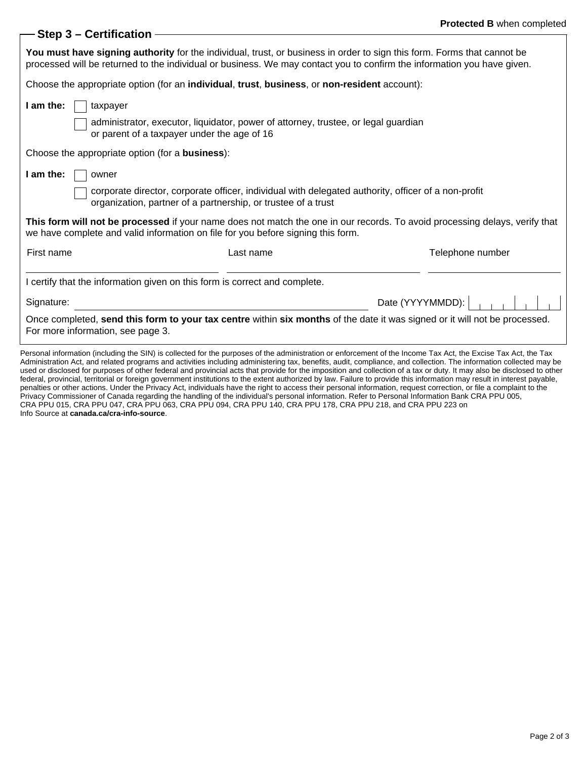### **Step 3 – Certification**

| You must have signing authority for the individual, trust, or business in order to sign this form. Forms that cannot be<br>processed will be returned to the individual or business. We may contact you to confirm the information you have given. |           |                                                                                                                            |  |
|----------------------------------------------------------------------------------------------------------------------------------------------------------------------------------------------------------------------------------------------------|-----------|----------------------------------------------------------------------------------------------------------------------------|--|
| Choose the appropriate option (for an individual, trust, business, or non-resident account):                                                                                                                                                       |           |                                                                                                                            |  |
| I am the:<br>taxpayer<br>administrator, executor, liquidator, power of attorney, trustee, or legal guardian                                                                                                                                        |           |                                                                                                                            |  |
| or parent of a taxpayer under the age of 16<br>Choose the appropriate option (for a <b>business</b> ):                                                                                                                                             |           |                                                                                                                            |  |
| I am the:<br>owner<br>corporate director, corporate officer, individual with delegated authority, officer of a non-profit<br>organization, partner of a partnership, or trustee of a trust                                                         |           |                                                                                                                            |  |
| This form will not be processed if your name does not match the one in our records. To avoid processing delays, verify that<br>we have complete and valid information on file for you before signing this form.                                    |           |                                                                                                                            |  |
| First name                                                                                                                                                                                                                                         | Last name | Telephone number                                                                                                           |  |
| I certify that the information given on this form is correct and complete.                                                                                                                                                                         |           |                                                                                                                            |  |
| Signature:                                                                                                                                                                                                                                         |           | Date (YYYYMMDD):                                                                                                           |  |
| For more information, see page 3.                                                                                                                                                                                                                  |           | Once completed, send this form to your tax centre within six months of the date it was signed or it will not be processed. |  |

Personal information (including the SIN) is collected for the purposes of the administration or enforcement of the Income Tax Act, the Excise Tax Act, the Tax Administration Act, and related programs and activities including administering tax, benefits, audit, compliance, and collection. The information collected may be used or disclosed for purposes of other federal and provincial acts that provide for the imposition and collection of a tax or duty. It may also be disclosed to other federal, provincial, territorial or foreign government institutions to the extent authorized by law. Failure to provide this information may result in interest payable, penalties or other actions. Under the Privacy Act, individuals have the right to access their personal information, request correction, or file a complaint to the Privacy Commissioner of Canada regarding the handling of the individual's personal information. Refer to Personal Information Bank CRA PPU 005, CRA PPU 015, CRA PPU 047, CRA PPU 063, CRA PPU 094, CRA PPU 140, CRA PPU 178, CRA PPU 218, and CRA PPU 223 on Info Source at **canada.ca/cra-info-source**.